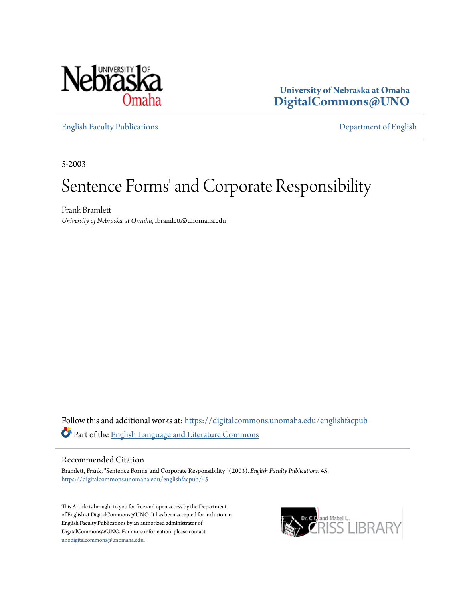

**University of Nebraska at Omaha [DigitalCommons@UNO](https://digitalcommons.unomaha.edu?utm_source=digitalcommons.unomaha.edu%2Fenglishfacpub%2F45&utm_medium=PDF&utm_campaign=PDFCoverPages)**

[English Faculty Publications](https://digitalcommons.unomaha.edu/englishfacpub?utm_source=digitalcommons.unomaha.edu%2Fenglishfacpub%2F45&utm_medium=PDF&utm_campaign=PDFCoverPages) [Department of English](https://digitalcommons.unomaha.edu/english?utm_source=digitalcommons.unomaha.edu%2Fenglishfacpub%2F45&utm_medium=PDF&utm_campaign=PDFCoverPages)

5-2003

### Sentence Forms' and Corporate Responsibility

Frank Bramlett *University of Nebraska at Omaha*, fbramlett@unomaha.edu

Follow this and additional works at: [https://digitalcommons.unomaha.edu/englishfacpub](https://digitalcommons.unomaha.edu/englishfacpub?utm_source=digitalcommons.unomaha.edu%2Fenglishfacpub%2F45&utm_medium=PDF&utm_campaign=PDFCoverPages) Part of the [English Language and Literature Commons](http://network.bepress.com/hgg/discipline/455?utm_source=digitalcommons.unomaha.edu%2Fenglishfacpub%2F45&utm_medium=PDF&utm_campaign=PDFCoverPages)

#### Recommended Citation

Bramlett, Frank, "Sentence Forms' and Corporate Responsibility" (2003). *English Faculty Publications*. 45. [https://digitalcommons.unomaha.edu/englishfacpub/45](https://digitalcommons.unomaha.edu/englishfacpub/45?utm_source=digitalcommons.unomaha.edu%2Fenglishfacpub%2F45&utm_medium=PDF&utm_campaign=PDFCoverPages)

This Article is brought to you for free and open access by the Department of English at DigitalCommons@UNO. It has been accepted for inclusion in English Faculty Publications by an authorized administrator of DigitalCommons@UNO. For more information, please contact [unodigitalcommons@unomaha.edu](mailto:unodigitalcommons@unomaha.edu).